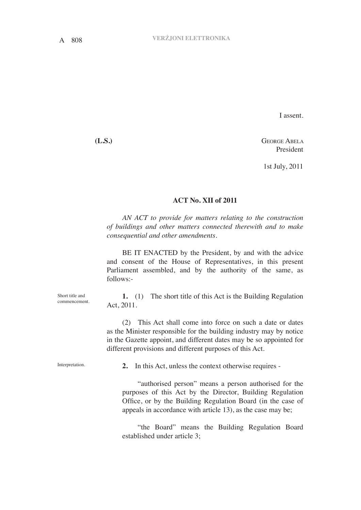I assent.

**(L.S.)** George Abela President

1st July, 2011

## **ACT No. XII of 2011**

*AN ACT to provide for matters relating to the construction of buildings and other matters connected therewith and to make consequential and other amendments.*

BE IT ENACTED by the President, by and with the advice and consent of the House of Representatives, in this present Parliament assembled, and by the authority of the same, as follows:-

**1.** (1) The short title of this Act is the Building Regulation Act, 2011.

(2) This Act shall come into force on such a date or dates as the Minister responsible for the building industry may by notice in the Gazette appoint, and different dates may be so appointed for different provisions and different purposes of this Act.

**2.** In this Act, unless the context otherwise requires -

"authorised person" means a person authorised for the purposes of this Act by the Director, Building Regulation Office, or by the Building Regulation Board (in the case of appeals in accordance with article 13), as the case may be;

"the Board" means the Building Regulation Board established under article 3;

Short title and commencement.

Interpretation.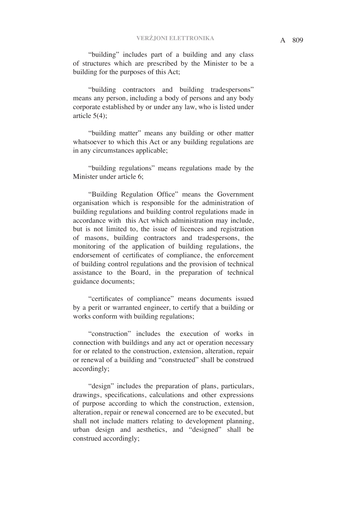"building" includes part of a building and any class of structures which are prescribed by the Minister to be a building for the purposes of this Act;

"building contractors and building tradespersons" means any person, including a body of persons and any body corporate established by or under any law, who is listed under article 5(4);

"building matter" means any building or other matter whatsoever to which this Act or any building regulations are in any circumstances applicable;

"building regulations" means regulations made by the Minister under article 6;

"Building Regulation Office" means the Government organisation which is responsible for the administration of building regulations and building control regulations made in accordance with this Act which administration may include, but is not limited to, the issue of licences and registration of masons, building contractors and tradespersons, the monitoring of the application of building regulations, the endorsement of certificates of compliance, the enforcement of building control regulations and the provision of technical assistance to the Board, in the preparation of technical guidance documents;

"certificates of compliance" means documents issued by a perit or warranted engineer, to certify that a building or works conform with building regulations;

"construction" includes the execution of works in connection with buildings and any act or operation necessary for or related to the construction, extension, alteration, repair or renewal of a building and "constructed" shall be construed accordingly;

"design" includes the preparation of plans, particulars, drawings, specifications, calculations and other expressions of purpose according to which the construction, extension, alteration, repair or renewal concerned are to be executed, but shall not include matters relating to development planning, urban design and aesthetics, and "designed" shall be construed accordingly;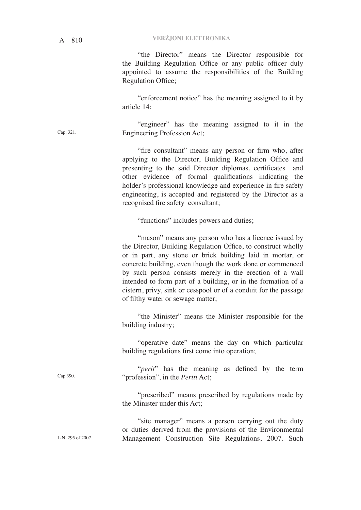"the Director" means the Director responsible for the Building Regulation Office or any public officer duly appointed to assume the responsibilities of the Building Regulation Office;

"enforcement notice" has the meaning assigned to it by article 14;

"engineer" has the meaning assigned to it in the Engineering Profession Act; Cap. 321.

> "fire consultant" means any person or firm who, after applying to the Director, Building Regulation Office and presenting to the said Director diplomas, certificates and other evidence of formal qualifications indicating the holder's professional knowledge and experience in fire safety engineering, is accepted and registered by the Director as a recognised fire safety consultant;

"functions" includes powers and duties;

"mason" means any person who has a licence issued by the Director, Building Regulation Office, to construct wholly or in part, any stone or brick building laid in mortar, or concrete building, even though the work done or commenced by such person consists merely in the erection of a wall intended to form part of a building, or in the formation of a cistern, privy, sink or cesspool or of a conduit for the passage of filthy water or sewage matter;

"the Minister" means the Minister responsible for the building industry;

"operative date" means the day on which particular building regulations first come into operation;

"*perit*" has the meaning as defined by the term "profession", in the *Periti* Act;

"prescribed" means prescribed by regulations made by the Minister under this Act;

"site manager" means a person carrying out the duty or duties derived from the provisions of the Environmental Management Construction Site Regulations, 2007. Such

L.N. 295 of 2007.

Cap 390.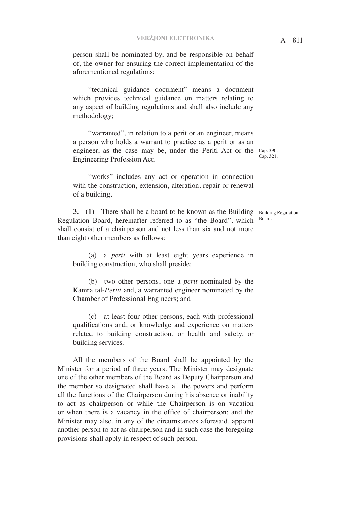person shall be nominated by, and be responsible on behalf of, the owner for ensuring the correct implementation of the aforementioned regulations;

"technical guidance document" means a document which provides technical guidance on matters relating to any aspect of building regulations and shall also include any methodology;

engineer, as the case may be, under the Periti Act or the Cap. 390. "warranted", in relation to a perit or an engineer, means a person who holds a warrant to practice as a perit or as an Engineering Profession Act;

"works" includes any act or operation in connection with the construction, extension, alteration, repair or renewal of a building.

**3.** (1) There shall be a board to be known as the Building Building Regulation Regulation Board, hereinafter referred to as "the Board", which shall consist of a chairperson and not less than six and not more than eight other members as follows:

(a) a *perit* with at least eight years experience in building construction, who shall preside;

(b) two other persons, one a *perit* nominated by the Kamra tal-*Periti* and, a warranted engineer nominated by the Chamber of Professional Engineers; and

(c) at least four other persons, each with professional qualifications and, or knowledge and experience on matters related to building construction, or health and safety, or building services.

All the members of the Board shall be appointed by the Minister for a period of three years. The Minister may designate one of the other members of the Board as Deputy Chairperson and the member so designated shall have all the powers and perform all the functions of the Chairperson during his absence or inability to act as chairperson or while the Chairperson is on vacation or when there is a vacancy in the office of chairperson; and the Minister may also, in any of the circumstances aforesaid, appoint another person to act as chairperson and in such case the foregoing provisions shall apply in respect of such person.

Board.

Cap. 321.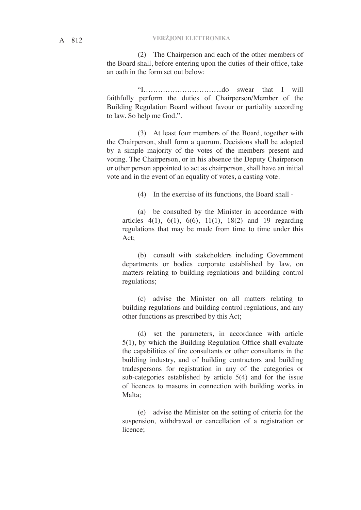(2) The Chairperson and each of the other members of the Board shall, before entering upon the duties of their office, take an oath in the form set out below:

"I…………………………...do swear that I will faithfully perform the duties of Chairperson/Member of the Building Regulation Board without favour or partiality according to law. So help me God.".

(3) At least four members of the Board, together with the Chairperson, shall form a quorum. Decisions shall be adopted by a simple majority of the votes of the members present and voting. The Chairperson, or in his absence the Deputy Chairperson or other person appointed to act as chairperson, shall have an initial vote and in the event of an equality of votes, a casting vote.

(4) In the exercise of its functions, the Board shall -

(a) be consulted by the Minister in accordance with articles  $4(1)$ ,  $6(1)$ ,  $6(6)$ ,  $11(1)$ ,  $18(2)$  and 19 regarding regulations that may be made from time to time under this Act;

(b) consult with stakeholders including Government departments or bodies corporate established by law, on matters relating to building regulations and building control regulations;

(c) advise the Minister on all matters relating to building regulations and building control regulations, and any other functions as prescribed by this Act;

(d) set the parameters, in accordance with article 5(1), by which the Building Regulation Office shall evaluate the capabilities of fire consultants or other consultants in the building industry, and of building contractors and building tradespersons for registration in any of the categories or sub-categories established by article 5(4) and for the issue of licences to masons in connection with building works in Malta;

(e) advise the Minister on the setting of criteria for the suspension, withdrawal or cancellation of a registration or licence;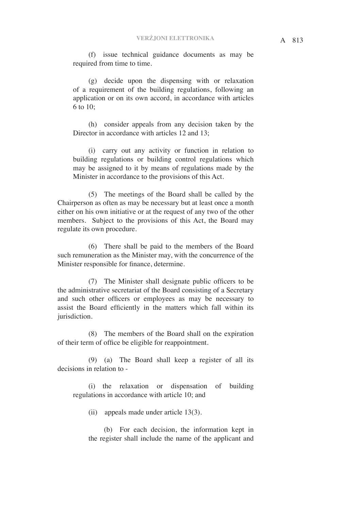(f) issue technical guidance documents as may be required from time to time.

(g) decide upon the dispensing with or relaxation of a requirement of the building regulations, following an application or on its own accord, in accordance with articles 6 to 10;

(h) consider appeals from any decision taken by the Director in accordance with articles 12 and 13:

(i) carry out any activity or function in relation to building regulations or building control regulations which may be assigned to it by means of regulations made by the Minister in accordance to the provisions of this Act.

(5) The meetings of the Board shall be called by the Chairperson as often as may be necessary but at least once a month either on his own initiative or at the request of any two of the other members. Subject to the provisions of this Act, the Board may regulate its own procedure.

(6) There shall be paid to the members of the Board such remuneration as the Minister may, with the concurrence of the Minister responsible for finance, determine.

(7) The Minister shall designate public officers to be the administrative secretariat of the Board consisting of a Secretary and such other officers or employees as may be necessary to assist the Board efficiently in the matters which fall within its jurisdiction.

(8) The members of the Board shall on the expiration of their term of office be eligible for reappointment.

(9) (a) The Board shall keep a register of all its decisions in relation to -

(i) the relaxation or dispensation of building regulations in accordance with article 10; and

(ii) appeals made under article 13(3).

(b) For each decision, the information kept in the register shall include the name of the applicant and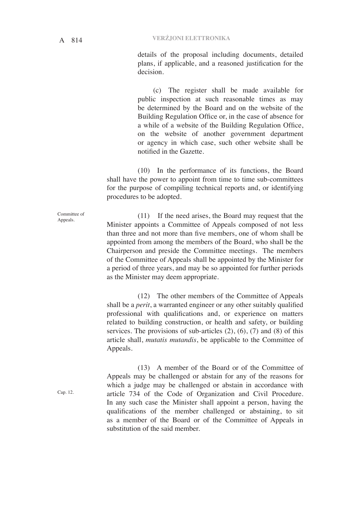details of the proposal including documents, detailed plans, if applicable, and a reasoned justification for the decision.

(c) The register shall be made available for public inspection at such reasonable times as may be determined by the Board and on the website of the Building Regulation Office or, in the case of absence for a while of a website of the Building Regulation Office, on the website of another government department or agency in which case, such other website shall be notified in the Gazette.

(10) In the performance of its functions, the Board shall have the power to appoint from time to time sub-committees for the purpose of compiling technical reports and, or identifying procedures to be adopted.

(11) If the need arises, the Board may request that the Minister appoints a Committee of Appeals composed of not less than three and not more than five members, one of whom shall be appointed from among the members of the Board, who shall be the Chairperson and preside the Committee meetings. The members of the Committee of Appeals shall be appointed by the Minister for a period of three years, and may be so appointed for further periods as the Minister may deem appropriate.

(12) The other members of the Committee of Appeals shall be a *perit*, a warranted engineer or any other suitably qualified professional with qualifications and, or experience on matters related to building construction, or health and safety, or building services. The provisions of sub-articles  $(2)$ ,  $(6)$ ,  $(7)$  and  $(8)$  of this article shall, *mutatis mutandis*, be applicable to the Committee of Appeals.

(13) A member of the Board or of the Committee of Appeals may be challenged or abstain for any of the reasons for which a judge may be challenged or abstain in accordance with article 734 of the Code of Organization and Civil Procedure. In any such case the Minister shall appoint a person, having the qualifications of the member challenged or abstaining, to sit as a member of the Board or of the Committee of Appeals in substitution of the said member.

Committee of Appeals.

Cap. 12.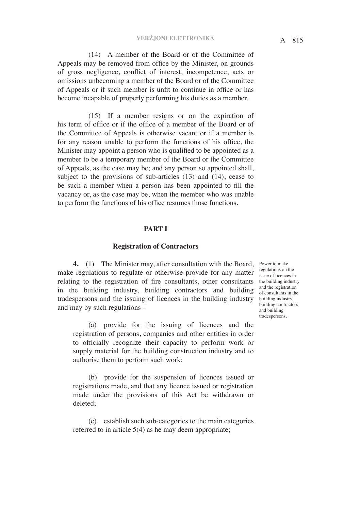(14) A member of the Board or of the Committee of Appeals may be removed from office by the Minister, on grounds of gross negligence, conflict of interest, incompetence, acts or omissions unbecoming a member of the Board or of the Committee of Appeals or if such member is unfit to continue in office or has become incapable of properly performing his duties as a member.

(15) If a member resigns or on the expiration of his term of office or if the office of a member of the Board or of the Committee of Appeals is otherwise vacant or if a member is for any reason unable to perform the functions of his office, the Minister may appoint a person who is qualified to be appointed as a member to be a temporary member of the Board or the Committee of Appeals, as the case may be; and any person so appointed shall, subject to the provisions of sub-articles (13) and (14), cease to be such a member when a person has been appointed to fill the vacancy or, as the case may be, when the member who was unable to perform the functions of his office resumes those functions.

## **PART I**

#### **Registration of Contractors**

4. (1) The Minister may, after consultation with the Board, Power to make make regulations to regulate or otherwise provide for any matter  $\frac{1}{1}{\rm s}$  issue of licences in relating to the registration of fire consultants, other consultants in the building industry, building contractors and building tradespersons and the issuing of licences in the building industry and may by such regulations -

(a) provide for the issuing of licences and the registration of persons, companies and other entities in order to officially recognize their capacity to perform work or supply material for the building construction industry and to authorise them to perform such work;

(b) provide for the suspension of licences issued or registrations made, and that any licence issued or registration made under the provisions of this Act be withdrawn or deleted;

(c) establish such sub-categories to the main categories referred to in article 5(4) as he may deem appropriate;

regulations on the the building industry and the registration of consultants in the building industry, building contractors and building tradespersons.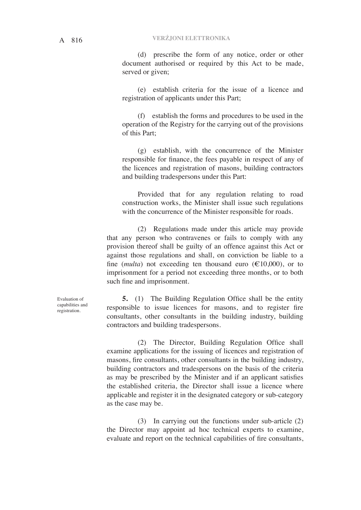(d) prescribe the form of any notice, order or other document authorised or required by this Act to be made, served or given;

(e) establish criteria for the issue of a licence and registration of applicants under this Part;

(f) establish the forms and procedures to be used in the operation of the Registry for the carrying out of the provisions of this Part;

(g) establish, with the concurrence of the Minister responsible for finance, the fees payable in respect of any of the licences and registration of masons, building contractors and building tradespersons under this Part:

Provided that for any regulation relating to road construction works, the Minister shall issue such regulations with the concurrence of the Minister responsible for roads.

(2) Regulations made under this article may provide that any person who contravenes or fails to comply with any provision thereof shall be guilty of an offence against this Act or against those regulations and shall, on conviction be liable to a fine (*multa*) not exceeding ten thousand euro  $(\text{\textsterling}10,000)$ , or to imprisonment for a period not exceeding three months, or to both such fine and imprisonment.

**5.** (1) The Building Regulation Office shall be the entity responsible to issue licences for masons, and to register fire consultants, other consultants in the building industry, building contractors and building tradespersons.

(2) The Director, Building Regulation Office shall examine applications for the issuing of licences and registration of masons, fire consultants, other consultants in the building industry, building contractors and tradespersons on the basis of the criteria as may be prescribed by the Minister and if an applicant satisfies the established criteria, the Director shall issue a licence where applicable and register it in the designated category or sub-category as the case may be.

(3) In carrying out the functions under sub-article (2) the Director may appoint ad hoc technical experts to examine, evaluate and report on the technical capabilities of fire consultants,

Evaluation of capabilities and registration.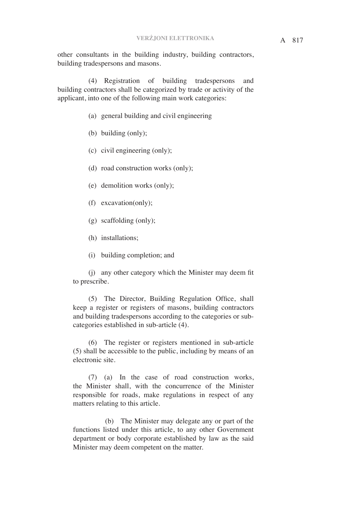other consultants in the building industry, building contractors, building tradespersons and masons.

(4) Registration of building tradespersons and building contractors shall be categorized by trade or activity of the applicant, into one of the following main work categories:

- (a) general building and civil engineering
- (b) building (only);
- (c) civil engineering (only);
- (d) road construction works (only);
- (e) demolition works (only);
- (f) excavation(only);
- (g) scaffolding (only);
- (h) installations;
- (i) building completion; and

(j) any other category which the Minister may deem fit to prescribe.

(5) The Director, Building Regulation Office, shall keep a register or registers of masons, building contractors and building tradespersons according to the categories or subcategories established in sub-article (4).

(6) The register or registers mentioned in sub-article (5) shall be accessible to the public, including by means of an electronic site.

(7) (a) In the case of road construction works, the Minister shall, with the concurrence of the Minister responsible for roads, make regulations in respect of any matters relating to this article.

 (b) The Minister may delegate any or part of the functions listed under this article, to any other Government department or body corporate established by law as the said Minister may deem competent on the matter.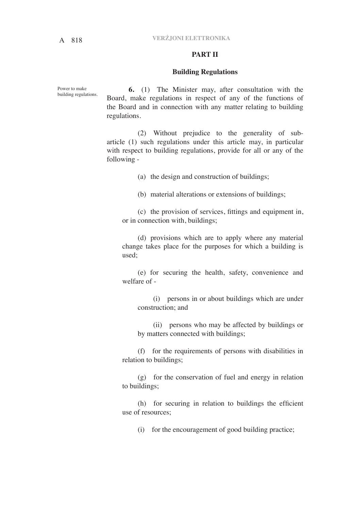# A 818 **VERŻJONI ELETTRONIKA**

## **PART II**

## **Building Regulations**

Power to make building regulations.

**6.** (1) The Minister may, after consultation with the Board, make regulations in respect of any of the functions of the Board and in connection with any matter relating to building regulations.

(2) Without prejudice to the generality of subarticle (1) such regulations under this article may, in particular with respect to building regulations, provide for all or any of the following -

(a) the design and construction of buildings;

(b) material alterations or extensions of buildings;

(c) the provision of services, fittings and equipment in, or in connection with, buildings;

(d) provisions which are to apply where any material change takes place for the purposes for which a building is used;

(e) for securing the health, safety, convenience and welfare of -

(i) persons in or about buildings which are under construction; and

(ii) persons who may be affected by buildings or by matters connected with buildings;

(f) for the requirements of persons with disabilities in relation to buildings;

(g) for the conservation of fuel and energy in relation to buildings;

(h) for securing in relation to buildings the efficient use of resources;

(i) for the encouragement of good building practice;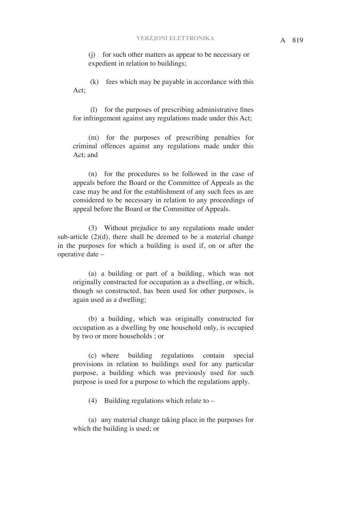(j) for such other matters as appear to be necessary or expedient in relation to buildings;

 (k) fees which may be payable in accordance with this Act;

 (l) for the purposes of prescribing administrative fines for infringement against any regulations made under this Act;

(m) for the purposes of prescribing penalties for criminal offences against any regulations made under this Act; and

(n) for the procedures to be followed in the case of appeals before the Board or the Committee of Appeals as the case may be and for the establishment of any such fees as are considered to be necessary in relation to any proceedings of appeal before the Board or the Committee of Appeals.

(3) Without prejudice to any regulations made under sub-article  $(2)(d)$ , there shall be deemed to be a material change in the purposes for which a building is used if, on or after the operative date –

(a) a building or part of a building, which was not originally constructed for occupation as a dwelling, or which, though so constructed, has been used for other purposes, is again used as a dwelling;

(b) a building, which was originally constructed for occupation as a dwelling by one household only, is occupied by two or more households ; or

(c) where building regulations contain special provisions in relation to buildings used for any particular purpose, a building which was previously used for such purpose is used for a purpose to which the regulations apply.

(4) Building regulations which relate to –

(a) any material change taking place in the purposes for which the building is used; or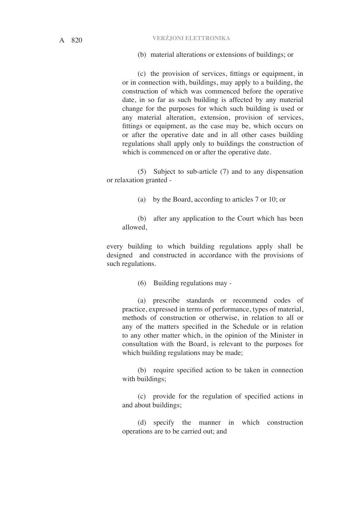(b) material alterations or extensions of buildings; or

(c) the provision of services, fittings or equipment, in or in connection with, buildings, may apply to a building, the construction of which was commenced before the operative date, in so far as such building is affected by any material change for the purposes for which such building is used or any material alteration, extension, provision of services, fittings or equipment, as the case may be, which occurs on or after the operative date and in all other cases building regulations shall apply only to buildings the construction of which is commenced on or after the operative date.

(5) Subject to sub-article (7) and to any dispensation or relaxation granted -

(a) by the Board, according to articles 7 or 10; or

(b) after any application to the Court which has been allowed,

every building to which building regulations apply shall be designed and constructed in accordance with the provisions of such regulations.

(6) Building regulations may -

(a) prescribe standards or recommend codes of practice, expressed in terms of performance, types of material, methods of construction or otherwise, in relation to all or any of the matters specified in the Schedule or in relation to any other matter which, in the opinion of the Minister in consultation with the Board, is relevant to the purposes for which building regulations may be made;

(b) require specified action to be taken in connection with buildings;

(c) provide for the regulation of specified actions in and about buildings;

(d) specify the manner in which construction operations are to be carried out; and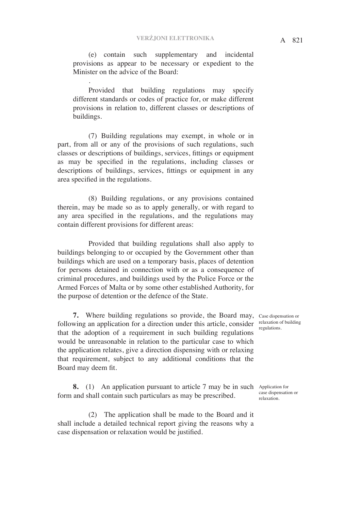(e) contain such supplementary and incidental provisions as appear to be necessary or expedient to the Minister on the advice of the Board:

.

Provided that building regulations may specify different standards or codes of practice for, or make different provisions in relation to, different classes or descriptions of buildings.

(7) Building regulations may exempt, in whole or in part, from all or any of the provisions of such regulations, such classes or descriptions of buildings, services, fittings or equipment as may be specified in the regulations, including classes or descriptions of buildings, services, fittings or equipment in any area specified in the regulations.

(8) Building regulations, or any provisions contained therein, may be made so as to apply generally, or with regard to any area specified in the regulations, and the regulations may contain different provisions for different areas:

Provided that building regulations shall also apply to buildings belonging to or occupied by the Government other than buildings which are used on a temporary basis, places of detention for persons detained in connection with or as a consequence of criminal procedures, and buildings used by the Police Force or the Armed Forces of Malta or by some other established Authority, for the purpose of detention or the defence of the State.

**7.** Where building regulations so provide, the Board may, Case dispensation or following an application for a direction under this article, consider that the adoption of a requirement in such building regulations would be unreasonable in relation to the particular case to which the application relates, give a direction dispensing with or relaxing that requirement, subject to any additional conditions that the Board may deem fit.

**8.** (1) An application pursuant to article 7 may be in such Application for form and shall contain such particulars as may be prescribed.

(2) The application shall be made to the Board and it shall include a detailed technical report giving the reasons why a case dispensation or relaxation would be justified.

relaxation of building regulations.

case dispensation or relaxation.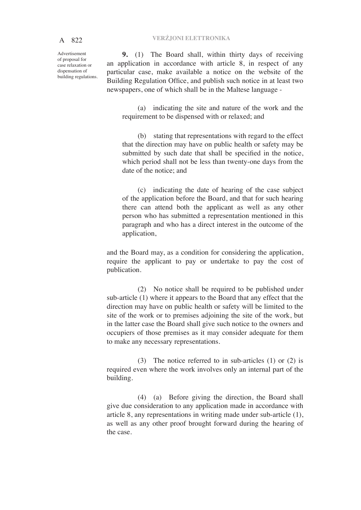Advertisement of proposal for case relaxation or dispensation of building regulations.

**9.** (1) The Board shall, within thirty days of receiving an application in accordance with article 8, in respect of any particular case, make available a notice on the website of the Building Regulation Office, and publish such notice in at least two newspapers, one of which shall be in the Maltese language -

(a) indicating the site and nature of the work and the requirement to be dispensed with or relaxed; and

(b) stating that representations with regard to the effect that the direction may have on public health or safety may be submitted by such date that shall be specified in the notice, which period shall not be less than twenty-one days from the date of the notice; and

(c) indicating the date of hearing of the case subject of the application before the Board, and that for such hearing there can attend both the applicant as well as any other person who has submitted a representation mentioned in this paragraph and who has a direct interest in the outcome of the application,

and the Board may, as a condition for considering the application, require the applicant to pay or undertake to pay the cost of publication.

(2) No notice shall be required to be published under sub-article (1) where it appears to the Board that any effect that the direction may have on public health or safety will be limited to the site of the work or to premises adjoining the site of the work, but in the latter case the Board shall give such notice to the owners and occupiers of those premises as it may consider adequate for them to make any necessary representations.

(3) The notice referred to in sub-articles (1) or (2) is required even where the work involves only an internal part of the building.

(4) (a) Before giving the direction, the Board shall give due consideration to any application made in accordance with article 8, any representations in writing made under sub-article (1), as well as any other proof brought forward during the hearing of the case.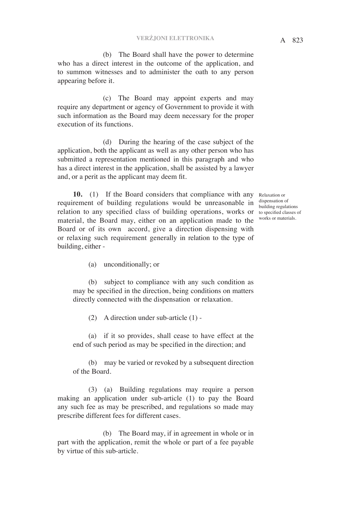(b) The Board shall have the power to determine who has a direct interest in the outcome of the application, and to summon witnesses and to administer the oath to any person appearing before it.

 (c) The Board may appoint experts and may require any department or agency of Government to provide it with such information as the Board may deem necessary for the proper execution of its functions.

 (d) During the hearing of the case subject of the application, both the applicant as well as any other person who has submitted a representation mentioned in this paragraph and who has a direct interest in the application, shall be assisted by a lawyer and, or a perit as the applicant may deem fit.

10. (1) If the Board considers that compliance with any Relaxation or requirement of building regulations would be unreasonable in relation to any specified class of building operations, works or to specified classes of material, the Board may, either on an application made to the Board or of its own accord, give a direction dispensing with or relaxing such requirement generally in relation to the type of building, either -

dispensation of building regulations works or materials.

(a) unconditionally; or

(b) subject to compliance with any such condition as may be specified in the direction, being conditions on matters directly connected with the dispensation or relaxation.

(2) A direction under sub-article (1) -

(a) if it so provides, shall cease to have effect at the end of such period as may be specified in the direction; and

(b) may be varied or revoked by a subsequent direction of the Board.

(3) (a) Building regulations may require a person making an application under sub-article (1) to pay the Board any such fee as may be prescribed, and regulations so made may prescribe different fees for different cases.

 (b) The Board may, if in agreement in whole or in part with the application, remit the whole or part of a fee payable by virtue of this sub-article.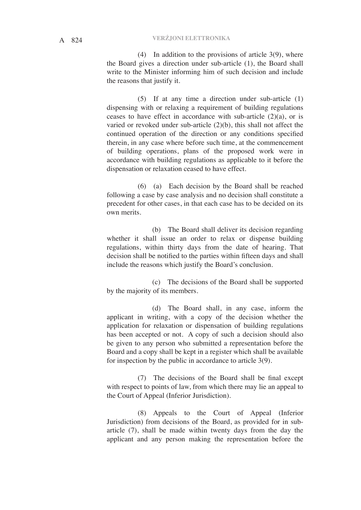# A 824 **VERŻJONI ELETTRONIKA**

(4) In addition to the provisions of article 3(9), where the Board gives a direction under sub-article (1), the Board shall write to the Minister informing him of such decision and include the reasons that justify it.

(5) If at any time a direction under sub-article (1) dispensing with or relaxing a requirement of building regulations ceases to have effect in accordance with sub-article  $(2)(a)$ , or is varied or revoked under sub-article (2)(b), this shall not affect the continued operation of the direction or any conditions specified therein, in any case where before such time, at the commencement of building operations, plans of the proposed work were in accordance with building regulations as applicable to it before the dispensation or relaxation ceased to have effect.

(6) (a) Each decision by the Board shall be reached following a case by case analysis and no decision shall constitute a precedent for other cases, in that each case has to be decided on its own merits.

 (b) The Board shall deliver its decision regarding whether it shall issue an order to relax or dispense building regulations, within thirty days from the date of hearing. That decision shall be notified to the parties within fifteen days and shall include the reasons which justify the Board's conclusion.

 (c) The decisions of the Board shall be supported by the majority of its members.

 (d) The Board shall, in any case, inform the applicant in writing, with a copy of the decision whether the application for relaxation or dispensation of building regulations has been accepted or not. A copy of such a decision should also be given to any person who submitted a representation before the Board and a copy shall be kept in a register which shall be available for inspection by the public in accordance to article 3(9).

(7) The decisions of the Board shall be final except with respect to points of law, from which there may lie an appeal to the Court of Appeal (Inferior Jurisdiction).

(8) Appeals to the Court of Appeal (Inferior Jurisdiction) from decisions of the Board, as provided for in subarticle (7), shall be made within twenty days from the day the applicant and any person making the representation before the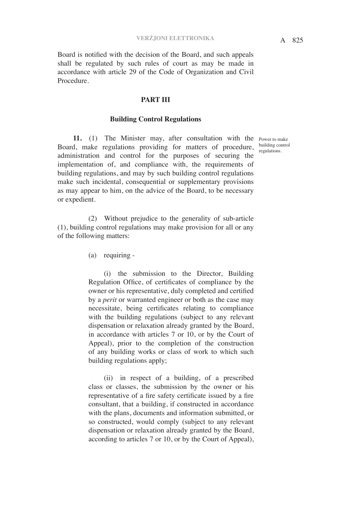Board is notified with the decision of the Board, and such appeals shall be regulated by such rules of court as may be made in accordance with article 29 of the Code of Organization and Civil Procedure.

## **PART III**

## **Building Control Regulations**

**11.** (1) The Minister may, after consultation with the Power to make Board, make regulations providing for matters of procedure, administration and control for the purposes of securing the implementation of, and compliance with, the requirements of building regulations, and may by such building control regulations make such incidental, consequential or supplementary provisions as may appear to him, on the advice of the Board, to be necessary or expedient.

(2) Without prejudice to the generality of sub-article (1), building control regulations may make provision for all or any of the following matters:

(a) requiring -

(i) the submission to the Director, Building Regulation Office, of certificates of compliance by the owner or his representative, duly completed and certified by a *perit* or warranted engineer or both as the case may necessitate, being certificates relating to compliance with the building regulations (subject to any relevant dispensation or relaxation already granted by the Board, in accordance with articles 7 or 10, or by the Court of Appeal), prior to the completion of the construction of any building works or class of work to which such building regulations apply;

(ii) in respect of a building, of a prescribed class or classes, the submission by the owner or his representative of a fire safety certificate issued by a fire consultant, that a building, if constructed in accordance with the plans, documents and information submitted, or so constructed, would comply (subject to any relevant dispensation or relaxation already granted by the Board, according to articles 7 or 10, or by the Court of Appeal),

building control regulations.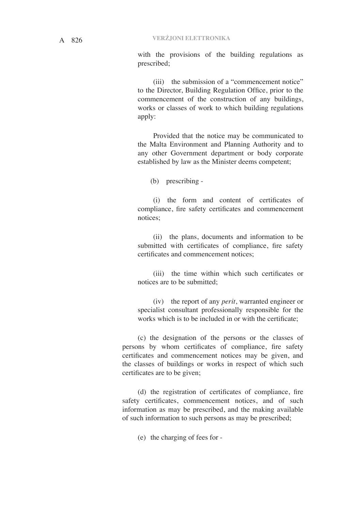with the provisions of the building regulations as prescribed;

(iii) the submission of a "commencement notice" to the Director, Building Regulation Office, prior to the commencement of the construction of any buildings, works or classes of work to which building regulations apply:

Provided that the notice may be communicated to the Malta Environment and Planning Authority and to any other Government department or body corporate established by law as the Minister deems competent;

(b) prescribing -

(i) the form and content of certificates of compliance, fire safety certificates and commencement notices;

(ii) the plans, documents and information to be submitted with certificates of compliance, fire safety certificates and commencement notices;

(iii) the time within which such certificates or notices are to be submitted;

(iv) the report of any *perit*, warranted engineer or specialist consultant professionally responsible for the works which is to be included in or with the certificate;

(c) the designation of the persons or the classes of persons by whom certificates of compliance, fire safety certificates and commencement notices may be given, and the classes of buildings or works in respect of which such certificates are to be given;

(d) the registration of certificates of compliance, fire safety certificates, commencement notices, and of such information as may be prescribed, and the making available of such information to such persons as may be prescribed;

(e) the charging of fees for -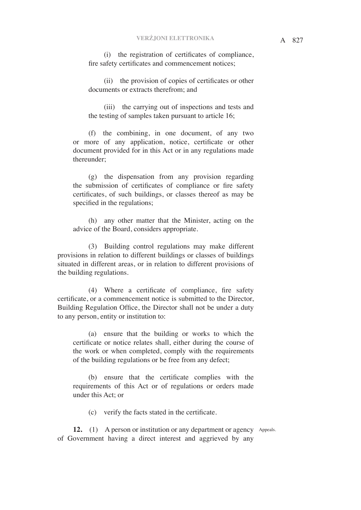(i) the registration of certificates of compliance, fire safety certificates and commencement notices;

(ii) the provision of copies of certificates or other documents or extracts therefrom; and

(iii) the carrying out of inspections and tests and the testing of samples taken pursuant to article 16;

(f) the combining, in one document, of any two or more of any application, notice, certificate or other document provided for in this Act or in any regulations made thereunder;

(g) the dispensation from any provision regarding the submission of certificates of compliance or fire safety certificates, of such buildings, or classes thereof as may be specified in the regulations;

(h) any other matter that the Minister, acting on the advice of the Board, considers appropriate.

(3) Building control regulations may make different provisions in relation to different buildings or classes of buildings situated in different areas, or in relation to different provisions of the building regulations.

(4) Where a certificate of compliance, fire safety certificate, or a commencement notice is submitted to the Director, Building Regulation Office, the Director shall not be under a duty to any person, entity or institution to:

(a) ensure that the building or works to which the certificate or notice relates shall, either during the course of the work or when completed, comply with the requirements of the building regulations or be free from any defect;

(b) ensure that the certificate complies with the requirements of this Act or of regulations or orders made under this Act; or

(c) verify the facts stated in the certificate.

12. (1) A person or institution or any department or agency Appeals. of Government having a direct interest and aggrieved by any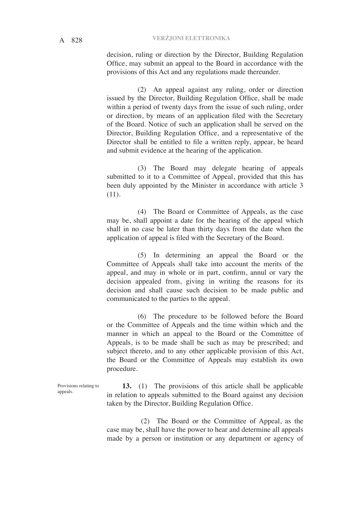decision, ruling or direction by the Director, Building Regulation Office, may submit an appeal to the Board in accordance with the provisions of this Act and any regulations made thereunder.

(2) An appeal against any ruling, order or direction issued by the Director, Building Regulation Office, shall be made within a period of twenty days from the issue of such ruling, order or direction, by means of an application filed with the Secretary of the Board. Notice of such an application shall be served on the Director, Building Regulation Office, and a representative of the Director shall be entitled to file a written reply, appear, be heard and submit evidence at the hearing of the application.

(3) The Board may delegate hearing of appeals submitted to it to a Committee of Appeal, provided that this has been duly appointed by the Minister in accordance with article 3 (11).

(4) The Board or Committee of Appeals, as the case may be, shall appoint a date for the hearing of the appeal which shall in no case be later than thirty days from the date when the application of appeal is filed with the Secretary of the Board.

(5) In determining an appeal the Board or the Committee of Appeals shall take into account the merits of the appeal, and may in whole or in part, confirm, annul or vary the decision appealed from, giving in writing the reasons for its decision and shall cause such decision to be made public and communicated to the parties to the appeal.

(6) The procedure to be followed before the Board or the Committee of Appeals and the time within which and the manner in which an appeal to the Board or the Committee of Appeals, is to be made shall be such as may be prescribed; and subject thereto, and to any other applicable provision of this Act, the Board or the Committee of Appeals may establish its own procedure.

Provisions relating to appeals.

**13.** (1) The provisions of this article shall be applicable in relation to appeals submitted to the Board against any decision taken by the Director, Building Regulation Office.

 (2) The Board or the Committee of Appeal, as the case may be, shall have the power to hear and determine all appeals made by a person or institution or any department or agency of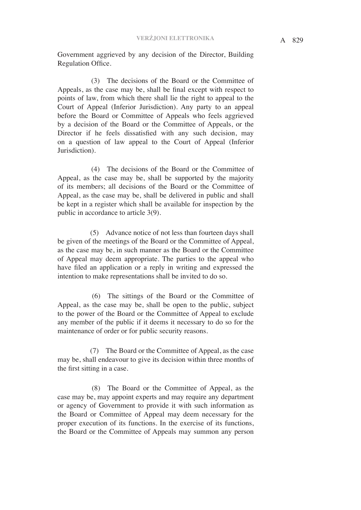Government aggrieved by any decision of the Director, Building Regulation Office.

 (3) The decisions of the Board or the Committee of Appeals, as the case may be, shall be final except with respect to points of law, from which there shall lie the right to appeal to the Court of Appeal (Inferior Jurisdiction). Any party to an appeal before the Board or Committee of Appeals who feels aggrieved by a decision of the Board or the Committee of Appeals, or the Director if he feels dissatisfied with any such decision, may on a question of law appeal to the Court of Appeal (Inferior Jurisdiction).

 (4) The decisions of the Board or the Committee of Appeal, as the case may be, shall be supported by the majority of its members; all decisions of the Board or the Committee of Appeal, as the case may be, shall be delivered in public and shall be kept in a register which shall be available for inspection by the public in accordance to article 3(9).

 (5) Advance notice of not less than fourteen days shall be given of the meetings of the Board or the Committee of Appeal, as the case may be, in such manner as the Board or the Committee of Appeal may deem appropriate. The parties to the appeal who have filed an application or a reply in writing and expressed the intention to make representations shall be invited to do so.

 (6) The sittings of the Board or the Committee of Appeal, as the case may be, shall be open to the public, subject to the power of the Board or the Committee of Appeal to exclude any member of the public if it deems it necessary to do so for the maintenance of order or for public security reasons.

 (7) The Board or the Committee of Appeal, as the case may be, shall endeavour to give its decision within three months of the first sitting in a case.

 (8) The Board or the Committee of Appeal, as the case may be, may appoint experts and may require any department or agency of Government to provide it with such information as the Board or Committee of Appeal may deem necessary for the proper execution of its functions. In the exercise of its functions, the Board or the Committee of Appeals may summon any person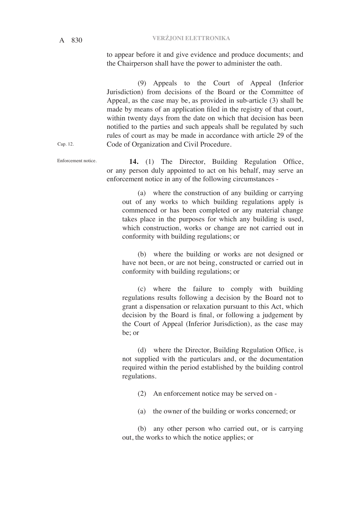A 830 **VERŻJONI ELETTRONIKA**

to appear before it and give evidence and produce documents; and the Chairperson shall have the power to administer the oath.

(9) Appeals to the Court of Appeal (Inferior Jurisdiction) from decisions of the Board or the Committee of Appeal, as the case may be, as provided in sub-article (3) shall be made by means of an application filed in the registry of that court, within twenty days from the date on which that decision has been notified to the parties and such appeals shall be regulated by such rules of court as may be made in accordance with article 29 of the Code of Organization and Civil Procedure.

**14.** (1) The Director, Building Regulation Office, or any person duly appointed to act on his behalf, may serve an enforcement notice in any of the following circumstances -

(a) where the construction of any building or carrying out of any works to which building regulations apply is commenced or has been completed or any material change takes place in the purposes for which any building is used, which construction, works or change are not carried out in conformity with building regulations; or

(b) where the building or works are not designed or have not been, or are not being, constructed or carried out in conformity with building regulations; or

(c) where the failure to comply with building regulations results following a decision by the Board not to grant a dispensation or relaxation pursuant to this Act, which decision by the Board is final, or following a judgement by the Court of Appeal (Inferior Jurisdiction), as the case may be; or

(d) where the Director, Building Regulation Office, is not supplied with the particulars and, or the documentation required within the period established by the building control regulations.

(2) An enforcement notice may be served on -

(a) the owner of the building or works concerned; or

(b) any other person who carried out, or is carrying out, the works to which the notice applies; or

Cap. 12.

Enforcement notice.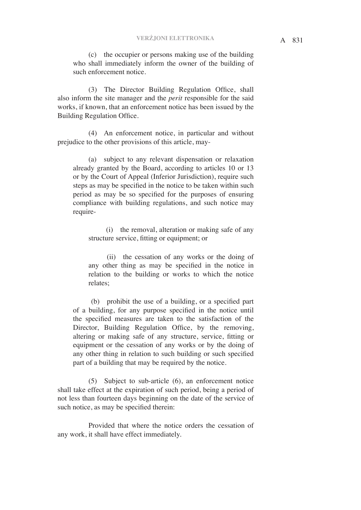(c) the occupier or persons making use of the building who shall immediately inform the owner of the building of such enforcement notice.

(3) The Director Building Regulation Office, shall also inform the site manager and the *perit* responsible for the said works, if known, that an enforcement notice has been issued by the Building Regulation Office.

(4) An enforcement notice, in particular and without prejudice to the other provisions of this article, may-

(a) subject to any relevant dispensation or relaxation already granted by the Board, according to articles 10 or 13 or by the Court of Appeal (Inferior Jurisdiction), require such steps as may be specified in the notice to be taken within such period as may be so specified for the purposes of ensuring compliance with building regulations, and such notice may require-

 (i) the removal, alteration or making safe of any structure service, fitting or equipment; or

 (ii) the cessation of any works or the doing of any other thing as may be specified in the notice in relation to the building or works to which the notice relates;

 (b) prohibit the use of a building, or a specified part of a building, for any purpose specified in the notice until the specified measures are taken to the satisfaction of the Director, Building Regulation Office, by the removing, altering or making safe of any structure, service, fitting or equipment or the cessation of any works or by the doing of any other thing in relation to such building or such specified part of a building that may be required by the notice.

(5) Subject to sub-article (6), an enforcement notice shall take effect at the expiration of such period, being a period of not less than fourteen days beginning on the date of the service of such notice, as may be specified therein:

Provided that where the notice orders the cessation of any work, it shall have effect immediately.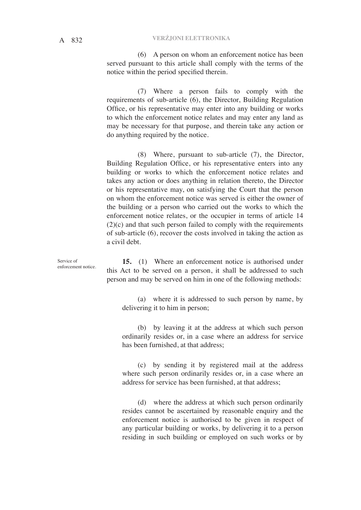# A 832 **VERŻJONI ELETTRONIKA**

(6) A person on whom an enforcement notice has been served pursuant to this article shall comply with the terms of the notice within the period specified therein.

(7) Where a person fails to comply with the requirements of sub-article (6), the Director, Building Regulation Office, or his representative may enter into any building or works to which the enforcement notice relates and may enter any land as may be necessary for that purpose, and therein take any action or do anything required by the notice.

(8) Where, pursuant to sub-article (7), the Director, Building Regulation Office, or his representative enters into any building or works to which the enforcement notice relates and takes any action or does anything in relation thereto, the Director or his representative may, on satisfying the Court that the person on whom the enforcement notice was served is either the owner of the building or a person who carried out the works to which the enforcement notice relates, or the occupier in terms of article 14 (2)(c) and that such person failed to comply with the requirements of sub-article (6), recover the costs involved in taking the action as a civil debt.

**15.** (1) Where an enforcement notice is authorised under this Act to be served on a person, it shall be addressed to such person and may be served on him in one of the following methods:

(a) where it is addressed to such person by name, by delivering it to him in person;

(b) by leaving it at the address at which such person ordinarily resides or, in a case where an address for service has been furnished, at that address;

(c) by sending it by registered mail at the address where such person ordinarily resides or, in a case where an address for service has been furnished, at that address;

(d) where the address at which such person ordinarily resides cannot be ascertained by reasonable enquiry and the enforcement notice is authorised to be given in respect of any particular building or works, by delivering it to a person residing in such building or employed on such works or by

Service of enforcement notice.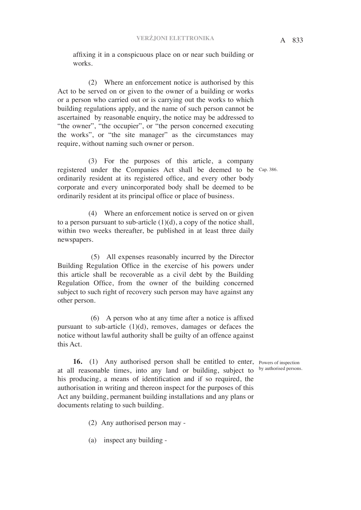affixing it in a conspicuous place on or near such building or works.

(2) Where an enforcement notice is authorised by this Act to be served on or given to the owner of a building or works or a person who carried out or is carrying out the works to which building regulations apply, and the name of such person cannot be ascertained by reasonable enquiry, the notice may be addressed to "the owner", "the occupier", or "the person concerned executing the works", or "the site manager" as the circumstances may require, without naming such owner or person.

(3) For the purposes of this article, a company registered under the Companies Act shall be deemed to be Cap. 386. ordinarily resident at its registered office, and every other body corporate and every unincorporated body shall be deemed to be ordinarily resident at its principal office or place of business.

(4) Where an enforcement notice is served on or given to a person pursuant to sub-article  $(1)(d)$ , a copy of the notice shall, within two weeks thereafter, be published in at least three daily newspapers.

 (5) All expenses reasonably incurred by the Director Building Regulation Office in the exercise of his powers under this article shall be recoverable as a civil debt by the Building Regulation Office, from the owner of the building concerned subject to such right of recovery such person may have against any other person.

 (6) A person who at any time after a notice is affixed pursuant to sub-article (1)(d), removes, damages or defaces the notice without lawful authority shall be guilty of an offence against this Act.

by authorised persons.

**16.** (1) Any authorised person shall be entitled to enter, Powers of inspection at all reasonable times, into any land or building, subject to his producing, a means of identification and if so required, the authorisation in writing and thereon inspect for the purposes of this Act any building, permanent building installations and any plans or documents relating to such building.

(2) Any authorised person may -

(a) inspect any building -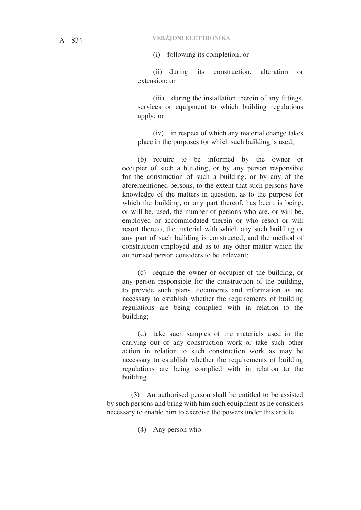(i) following its completion; or

(ii) during its construction, alteration or extension; or

(iii) during the installation therein of any fittings, services or equipment to which building regulations apply; or

(iv) in respect of which any material change takes place in the purposes for which such building is used;

(b) require to be informed by the owner or occupier of such a building, or by any person responsible for the construction of such a building, or by any of the aforementioned persons, to the extent that such persons have knowledge of the matters in question, as to the purpose for which the building, or any part thereof, has been, is being, or will be, used, the number of persons who are, or will be, employed or accommodated therein or who resort or will resort thereto, the material with which any such building or any part of such building is constructed, and the method of construction employed and as to any other matter which the authorised person considers to be relevant;

(c) require the owner or occupier of the building, or any person responsible for the construction of the building, to provide such plans, documents and information as are necessary to establish whether the requirements of building regulations are being complied with in relation to the building;

(d) take such samples of the materials used in the carrying out of any construction work or take such other action in relation to such construction work as may be necessary to establish whether the requirements of building regulations are being complied with in relation to the building.

 (3) An authorised person shall be entitled to be assisted by such persons and bring with him such equipment as he considers necessary to enable him to exercise the powers under this article.

(4) Any person who -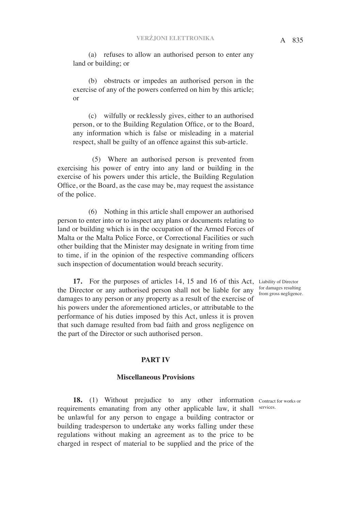(a) refuses to allow an authorised person to enter any land or building; or

(b) obstructs or impedes an authorised person in the exercise of any of the powers conferred on him by this article; or

(c) wilfully or recklessly gives, either to an authorised person, or to the Building Regulation Office, or to the Board, any information which is false or misleading in a material respect, shall be guilty of an offence against this sub-article.

 (5) Where an authorised person is prevented from exercising his power of entry into any land or building in the exercise of his powers under this article, the Building Regulation Office, or the Board, as the case may be, may request the assistance of the police.

(6) Nothing in this article shall empower an authorised person to enter into or to inspect any plans or documents relating to land or building which is in the occupation of the Armed Forces of Malta or the Malta Police Force, or Correctional Facilities or such other building that the Minister may designate in writing from time to time, if in the opinion of the respective commanding officers such inspection of documentation would breach security.

17. For the purposes of articles 14, 15 and 16 of this Act, Liability of Director the Director or any authorised person shall not be liable for any damages to any person or any property as a result of the exercise of his powers under the aforementioned articles, or attributable to the performance of his duties imposed by this Act, unless it is proven that such damage resulted from bad faith and gross negligence on the part of the Director or such authorised person.

for damages resulting from gross negligence.

### **PART IV**

## **Miscellaneous Provisions**

18. (1) Without prejudice to any other information Contract for works or requirements emanating from any other applicable law, it shall services. be unlawful for any person to engage a building contractor or building tradesperson to undertake any works falling under these regulations without making an agreement as to the price to be charged in respect of material to be supplied and the price of the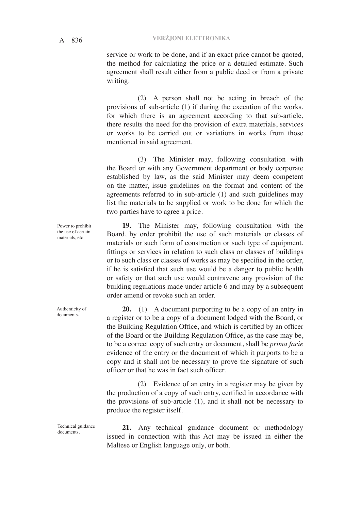service or work to be done, and if an exact price cannot be quoted, the method for calculating the price or a detailed estimate. Such agreement shall result either from a public deed or from a private writing.

(2) A person shall not be acting in breach of the provisions of sub-article (1) if during the execution of the works, for which there is an agreement according to that sub-article, there results the need for the provision of extra materials, services or works to be carried out or variations in works from those mentioned in said agreement.

(3) The Minister may, following consultation with the Board or with any Government department or body corporate established by law, as the said Minister may deem competent on the matter, issue guidelines on the format and content of the agreements referred to in sub-article (1) and such guidelines may list the materials to be supplied or work to be done for which the two parties have to agree a price.

**19.** The Minister may, following consultation with the Board, by order prohibit the use of such materials or classes of materials or such form of construction or such type of equipment, fittings or services in relation to such class or classes of buildings or to such class or classes of works as may be specified in the order, if he is satisfied that such use would be a danger to public health or safety or that such use would contravene any provision of the building regulations made under article 6 and may by a subsequent order amend or revoke such an order.

**20.** (1) A document purporting to be a copy of an entry in a register or to be a copy of a document lodged with the Board, or the Building Regulation Office, and which is certified by an officer of the Board or the Building Regulation Office, as the case may be, to be a correct copy of such entry or document, shall be *prima facie*  evidence of the entry or the document of which it purports to be a copy and it shall not be necessary to prove the signature of such officer or that he was in fact such officer.

(2) Evidence of an entry in a register may be given by the production of a copy of such entry, certified in accordance with the provisions of sub-article (1), and it shall not be necessary to produce the register itself.

**21.** Any technical guidance document or methodology issued in connection with this Act may be issued in either the Maltese or English language only, or both.

Power to prohibit the use of certain materials, etc.

Authenticity of documents.

Technical guidance documents.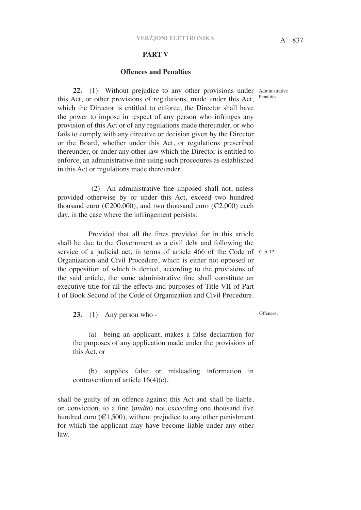#### **PART V**

## **Offences and Penalties**

Penalties.

**22.** (1) Without prejudice to any other provisions under Administrative this Act, or other provisions of regulations, made under this Act, which the Director is entitled to enforce, the Director shall have the power to impose in respect of any person who infringes any provision of this Act or of any regulations made thereunder, or who fails to comply with any directive or decision given by the Director or the Board, whether under this Act, or regulations prescribed thereunder, or under any other law which the Director is entitled to enforce, an administrative fine using such procedures as established in this Act or regulations made thereunder.

 (2) An administrative fine imposed shall not, unless provided otherwise by or under this Act, exceed two hundred thousand euro (€200,000), and two thousand euro (€2,000) each day, in the case where the infringement persists:

Provided that all the fines provided for in this article shall be due to the Government as a civil debt and following the service of a judicial act, in terms of article 466 of the Code of Cap. 12. Organization and Civil Procedure, which is either not opposed or the opposition of which is denied, according to the provisions of the said article, the same administrative fine shall constitute an executive title for all the effects and purposes of Title VII of Part I of Book Second of the Code of Organization and Civil Procedure.

**23.** (1) Any person who -

(a) being an applicant, makes a false declaration for the purposes of any application made under the provisions of this Act, or

(b) supplies false or misleading information in contravention of article 16(4)(c),

shall be guilty of an offence against this Act and shall be liable, on conviction, to a fine (*multa*) not exceeding one thousand five hundred euro ( $\epsilon$ 1,500), without prejudice to any other punishment for which the applicant may have become liable under any other law.

Offences.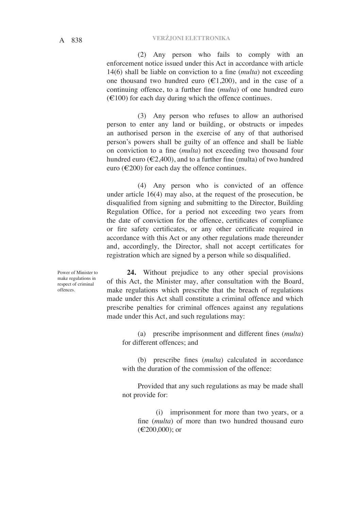(2) Any person who fails to comply with an enforcement notice issued under this Act in accordance with article 14(6) shall be liable on conviction to a fine (*multa*) not exceeding one thousand two hundred euro  $(\epsilon 1, 200)$ , and in the case of a continuing offence, to a further fine (*multa*) of one hundred euro  $(\text{\textsterling}100)$  for each day during which the offence continues.

(3) Any person who refuses to allow an authorised person to enter any land or building, or obstructs or impedes an authorised person in the exercise of any of that authorised person's powers shall be guilty of an offence and shall be liable on conviction to a fine (*multa*) not exceeding two thousand four hundred euro ( $\epsilon$ 2,400), and to a further fine (multa) of two hundred euro ( $\epsilon$ 200) for each day the offence continues.

(4) Any person who is convicted of an offence under article 16(4) may also, at the request of the prosecution, be disqualified from signing and submitting to the Director, Building Regulation Office, for a period not exceeding two years from the date of conviction for the offence, certificates of compliance or fire safety certificates, or any other certificate required in accordance with this Act or any other regulations made thereunder and, accordingly, the Director, shall not accept certificates for registration which are signed by a person while so disqualified.

Power of Minister to make regulations in respect of criminal offences.

**24.** Without prejudice to any other special provisions of this Act, the Minister may, after consultation with the Board, make regulations which prescribe that the breach of regulations made under this Act shall constitute a criminal offence and which prescribe penalties for criminal offences against any regulations made under this Act, and such regulations may:

(a) prescribe imprisonment and different fines (*multa*) for different offences; and

(b) prescribe fines (*multa*) calculated in accordance with the duration of the commission of the offence:

Provided that any such regulations as may be made shall not provide for:

 (i) imprisonment for more than two years, or a fine (*multa*) of more than two hundred thousand euro (€200,000); or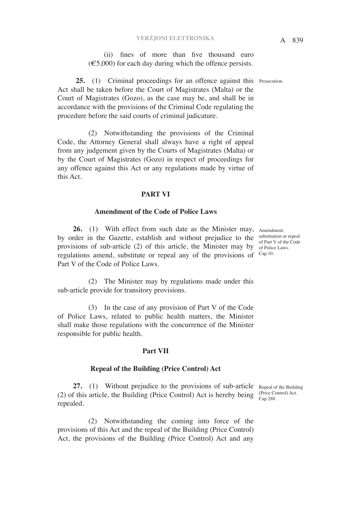# A 839 **VERŻJONI ELETTRONIKA**

(ii) fines of more than five thousand euro  $(\text{\textsterling}5,000)$  for each day during which the offence persists.

25. (1) Criminal proceedings for an offence against this Prosecution. Act shall be taken before the Court of Magistrates (Malta) or the Court of Magistrates (Gozo), as the case may be, and shall be in accordance with the provisions of the Criminal Code regulating the procedure before the said courts of criminal judicature.

(2) Notwithstanding the provisions of the Criminal Code, the Attorney General shall always have a right of appeal from any judgement given by the Courts of Magistrates (Malta) or by the Court of Magistrates (Gozo) in respect of proceedings for any offence against this Act or any regulations made by virtue of this Act.

## **PART VI**

### **Amendment of the Code of Police Laws**

26. (1) With effect from such date as the Minister may, Amendment, by order in the Gazette, establish and without prejudice to the substitution or repeal provisions of sub-article (2) of this article, the Minister may by of Police Laws. regulations amend, substitute or repeal any of the provisions of <sup>Cap 10.</sup> Part V of the Code of Police Laws.

(2) The Minister may by regulations made under this sub-article provide for transitory provisions.

(3) In the case of any provision of Part V of the Code of Police Laws, related to public health matters, the Minister shall make those regulations with the concurrence of the Minister responsible for public health.

## **Part VII**

### **Repeal of the Building (Price Control) Act**

**27.** (1) Without prejudice to the provisions of sub-article Repeal of the Building (2) of this article, the Building (Price Control) Act is hereby being  $\frac{\text{(Price Control)}\text{Act.}}{\text{Con }288}$ repealed. Cap 288.

(2) Notwithstanding the coming into force of the provisions of this Act and the repeal of the Building (Price Control) Act, the provisions of the Building (Price Control) Act and any

of Part V of the Code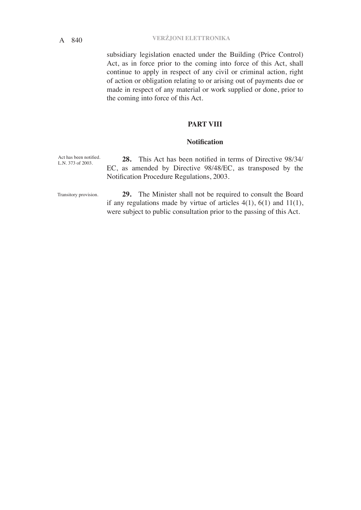subsidiary legislation enacted under the Building (Price Control) Act, as in force prior to the coming into force of this Act, shall continue to apply in respect of any civil or criminal action, right of action or obligation relating to or arising out of payments due or made in respect of any material or work supplied or done, prior to the coming into force of this Act.

## **PART VIII**

## **Notification**

Act has been notified. L.N. 373 of 2003.

**28.** This Act has been notified in terms of Directive 98/34/ EC, as amended by Directive 98/48/EC, as transposed by the Notification Procedure Regulations, 2003.

Transitory provision.

**29.** The Minister shall not be required to consult the Board if any regulations made by virtue of articles  $4(1)$ ,  $6(1)$  and  $11(1)$ , were subject to public consultation prior to the passing of this Act.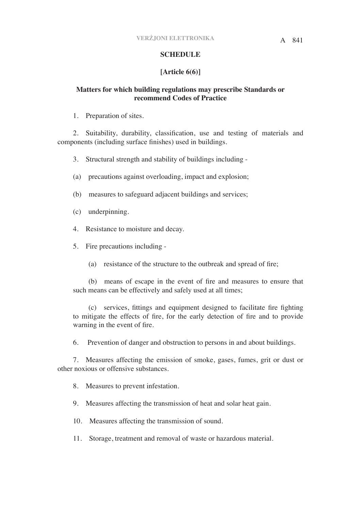# **SCHEDULE**

# **[Article 6(6)]**

# **Matters for which building regulations may prescribe Standards or recommend Codes of Practice**

1. Preparation of sites.

2. Suitability, durability, classification, use and testing of materials and components (including surface finishes) used in buildings.

3. Structural strength and stability of buildings including -

- (a) precautions against overloading, impact and explosion;
- (b) measures to safeguard adjacent buildings and services;
- (c) underpinning.
- 4. Resistance to moisture and decay.
- 5. Fire precautions including
	- (a) resistance of the structure to the outbreak and spread of fire;

(b) means of escape in the event of fire and measures to ensure that such means can be effectively and safely used at all times;

(c) services, fittings and equipment designed to facilitate fire fighting to mitigate the effects of fire, for the early detection of fire and to provide warning in the event of fire.

6. Prevention of danger and obstruction to persons in and about buildings.

7. Measures affecting the emission of smoke, gases, fumes, grit or dust or other noxious or offensive substances.

8. Measures to prevent infestation.

- 9. Measures affecting the transmission of heat and solar heat gain.
- 10. Measures affecting the transmission of sound.
- 11. Storage, treatment and removal of waste or hazardous material.